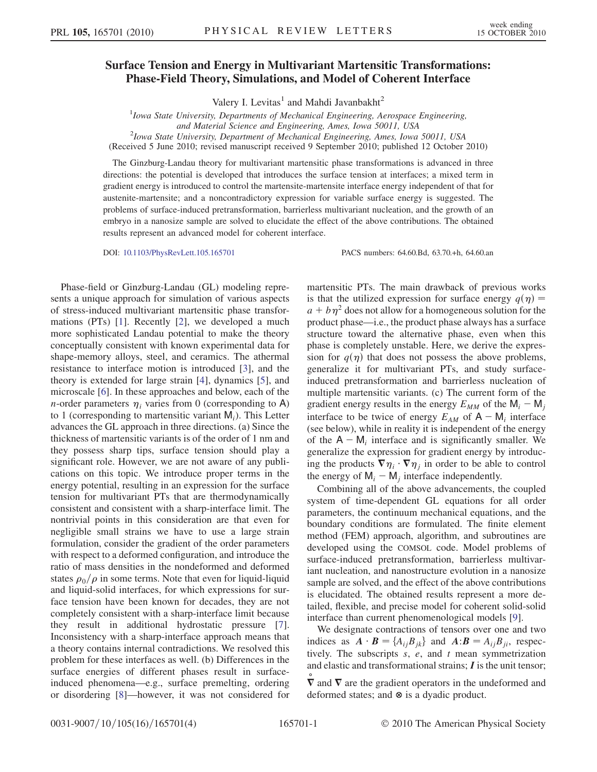## Surface Tension and Energy in Multivariant Martensitic Transformations: Phase-Field Theory, Simulations, and Model of Coherent Interface

Valery I. Levitas<sup>1</sup> and Mahdi Javanbakht<sup>2</sup>

 $1$ Iowa State University, Departments of Mechanical Engineering, Aerospace Engineering,

and Material Science and Engineering, Ames, Iowa 50011, USA <sup>2</sup>

 $^{2}$ Iowa State University, Department of Mechanical Engineering, Ames, Iowa 50011, USA

(Received 5 June 2010; revised manuscript received 9 September 2010; published 12 October 2010)

The Ginzburg-Landau theory for multivariant martensitic phase transformations is advanced in three directions: the potential is developed that introduces the surface tension at interfaces; a mixed term in gradient energy is introduced to control the martensite-martensite interface energy independent of that for austenite-martensite; and a noncontradictory expression for variable surface energy is suggested. The problems of surface-induced pretransformation, barrierless multivariant nucleation, and the growth of an embryo in a nanosize sample are solved to elucidate the effect of the above contributions. The obtained results represent an advanced model for coherent interface.

DOI: [10.1103/PhysRevLett.105.165701](http://dx.doi.org/10.1103/PhysRevLett.105.165701) PACS numbers: 64.60.Bd, 63.70.+h, 64.60.an

Phase-field or Ginzburg-Landau (GL) modeling represents a unique approach for simulation of various aspects of stress-induced multivariant martensitic phase transformations (PTs) [[1\]](#page-3-0). Recently [\[2\]](#page-3-1), we developed a much more sophisticated Landau potential to make the theory conceptually consistent with known experimental data for shape-memory alloys, steel, and ceramics. The athermal resistance to interface motion is introduced [\[3](#page-3-2)], and the theory is extended for large strain [[4](#page-3-3)], dynamics [[5](#page-3-4)], and microscale [[6\]](#page-3-5). In these approaches and below, each of the *n*-order parameters  $\eta_i$  varies from 0 (corresponding to A) to 1 (corresponding to martensitic variant  $M_i$ ). This Letter advances the GL approach in three directions. (a) Since the thickness of martensitic variants is of the order of 1 nm and they possess sharp tips, surface tension should play a significant role. However, we are not aware of any publications on this topic. We introduce proper terms in the energy potential, resulting in an expression for the surface tension for multivariant PTs that are thermodynamically consistent and consistent with a sharp-interface limit. The nontrivial points in this consideration are that even for negligible small strains we have to use a large strain formulation, consider the gradient of the order parameters with respect to a deformed configuration, and introduce the ratio of mass densities in the nondeformed and deformed states  $\rho_0/\rho$  in some terms. Note that even for liquid-liquid and liquid-solid interfaces, for which expressions for surface tension have been known for decades, they are not completely consistent with a sharp-interface limit because they result in additional hydrostatic pressure [[7\]](#page-3-6). Inconsistency with a sharp-interface approach means that a theory contains internal contradictions. We resolved this problem for these interfaces as well. (b) Differences in the surface energies of different phases result in surfaceinduced phenomena—e.g., surface premelting, ordering or disordering [[8](#page-3-7)]—however, it was not considered for martensitic PTs. The main drawback of previous works is that the utilized expression for surface energy  $q(\eta) =$  $a + b\eta^2$  does not allow for a homogeneous solution for the product phase—i.e., the product phase always has a surface structure toward the alternative phase, even when this phase is completely unstable. Here, we derive the expression for  $q(\eta)$  that does not possess the above problems, generalize it for multivariant PTs, and study surfaceinduced pretransformation and barrierless nucleation of multiple martensitic variants. (c) The current form of the gradient energy results in the energy  $E_{MM}$  of the  $M_i - M_j$ interface to be twice of energy  $E_{AM}$  of  $A - M_i$  interface (see below), while in reality it is independent of the energy of the  $A - M_i$  interface and is significantly smaller. We generalize the expression for gradient energy by introducing the products  $\nabla \eta_i \cdot \nabla \eta_j$  in order to be able to control<br>the energy of M – M interface independently the energy of  $M_i - M_j$  interface independently.

Combining all of the above advancements, the coupled system of time-dependent GL equations for all order parameters, the continuum mechanical equations, and the boundary conditions are formulated. The finite element method (FEM) approach, algorithm, and subroutines are developed using the COMSOL code. Model problems of surface-induced pretransformation, barrierless multivariant nucleation, and nanostructure evolution in a nanosize sample are solved, and the effect of the above contributions is elucidated. The obtained results represent a more detailed, flexible, and precise model for coherent solid-solid interface than current phenomenological models [[9](#page-3-8)].

We designate contractions of tensors over one and two indices as  $\mathbf{A} \cdot \mathbf{B} = \{A_{ij}B_{jk}\}\$ and  $\mathbf{A} \cdot \mathbf{B} = A_{ij}B_{ji}$ , respectively. The subscripts s e and t mean symmetrization tively. The subscripts  $s$ ,  $e$ , and  $t$  mean symmetrization and elastic and transformational strains; I is the unit tensor;

 $\nabla$  and  $\nabla$  are the gradient operators in the undeformed and deformed states; and  $\otimes$  is a dyadic product.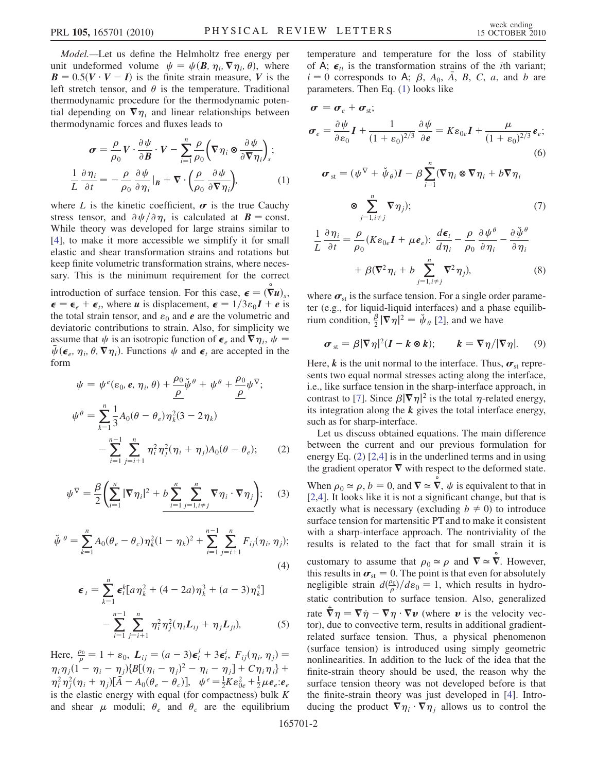Model.—Let us define the Helmholtz free energy per unit undeformed volume  $\psi = \psi(B, \eta_i, \nabla \eta_i, \theta)$ , where  $\mathbf{B} = 0.5(\mathbf{V} \cdot \mathbf{V} - \mathbf{I})$  is the finite strain measure,  $\mathbf{V}$  is the left stretch tensor, and  $\theta$  is the temperature. Traditional left stretch tensor, and  $\theta$  is the temperature. Traditional thermodynamic procedure for the thermodynamic potential depending on  $\nabla \eta_i$  and linear relationships between thermodynamic forces and fluxes leads to

<span id="page-1-0"></span>
$$
\sigma = \frac{\rho}{\rho_0} V \cdot \frac{\partial \psi}{\partial B} \cdot V - \sum_{i=1}^n \frac{\rho}{\rho_0} \left( \nabla \eta_i \otimes \frac{\partial \psi}{\partial \nabla \eta_i} \right)_s;
$$
  

$$
\frac{1}{L} \frac{\partial \eta_i}{\partial t} = -\frac{\rho}{\rho_0} \frac{\partial \psi}{\partial \eta_i} \Big|_B + \nabla \cdot \left( \frac{\rho}{\rho_0} \frac{\partial \psi}{\partial \nabla \eta_i} \right),
$$
 (1)

where L is the kinetic coefficient,  $\sigma$  is the true Cauchy stress tensor, and  $\partial \psi / \partial \eta_i$  is calculated at  $B = \text{const.}$ While theory was developed for large strains similar to [\[4\]](#page-3-3), to make it more accessible we simplify it for small elastic and shear transformation strains and rotations but keep finite volumetric transformation strains, where necessary. This is the minimum requirement for the correct introduction of surface tension. For this case,  $\boldsymbol{\epsilon} = (\nabla u)_s$ ,<br>  $\boldsymbol{\epsilon} = \boldsymbol{\epsilon} + \boldsymbol{\epsilon}$  where *u* is displacement  $\boldsymbol{\epsilon} = 1/3s \cdot \boldsymbol{J} + \boldsymbol{\epsilon}$  is  $\epsilon = \epsilon_e + \epsilon_i$ , where *u* is displacement,  $\epsilon = 1/3\epsilon_0 I + e$  is<br>the total strain tensor, and  $\epsilon_0$  and *e* are the volumetric and

the total strain tensor, and  $\varepsilon_0$  and  $e$  are the volumetric and deviatoric contributions to strain. Also, for simplicity we assume that  $\psi$  is an isotropic function of  $\epsilon_e$  and  $\nabla \eta_i$ ,  $\psi = \bar{u}(\epsilon - n \cdot \theta \nabla n)$ . Functions  $u_k$  and  $\epsilon$ , are accepted in the  $\bar{\psi}$  ( $\epsilon_e$ ,  $\eta_i$ ,  $\theta$ ,  $\nabla \eta_i$ ). Functions  $\psi$  and  $\epsilon_t$  are accepted in the form form

$$
\psi = \psi^{e}( \varepsilon_{0}, e, \eta_{i}, \theta) + \frac{\rho_{0}}{\rho} \check{\psi}^{\theta} + \psi^{\theta} + \frac{\rho_{0}}{\rho} \psi^{\nabla};
$$
  

$$
\psi^{\theta} = \sum_{k=1}^{n} \frac{1}{3} A_{0} (\theta - \theta_{e}) \eta_{k}^{2} (3 - 2 \eta_{k}) - \sum_{i=1}^{n-1} \sum_{j=i+1}^{n} \eta_{i}^{2} \eta_{j}^{2} (\eta_{i} + \eta_{j}) A_{0} (\theta - \theta_{e});
$$
 (2)

$$
\psi^{\nabla} = \frac{\beta}{2} \left( \sum_{i=1}^{n} |\nabla \eta_i|^2 + b \sum_{i=1}^{n} \sum_{j=1, i \neq j}^{n} \nabla \eta_i \cdot \nabla \eta_j \right); \quad (3)
$$

$$
\breve{\psi}^{\theta} = \sum_{k=1}^{n} A_0 (\theta_e - \theta_c) \eta_k^2 (1 - \eta_k)^2 + \sum_{i=1}^{n-1} \sum_{j=i+1}^{n} F_{ij} (\eta_i, \eta_j);
$$
\n(4)

$$
\epsilon_{t} = \sum_{k=1}^{n} \epsilon_{t}^{k} [a \eta_{k}^{2} + (4 - 2a) \eta_{k}^{3} + (a - 3) \eta_{k}^{4}]
$$

$$
- \sum_{i=1}^{n-1} \sum_{j=i+1}^{n} \eta_{i}^{2} \eta_{j}^{2} (\eta_{i} L_{ij} + \eta_{j} L_{ji}), \qquad (5)
$$

<span id="page-1-1"></span>Here,  $\frac{\rho_0}{\rho} = 1 + \varepsilon_0$ ,  $L_{ij} = (a-3)\epsilon_i^j + 3\epsilon_i^i$ ,  $F_{ij}(\eta_i, \eta_j) =$  $\eta_i \eta_j (1 - \eta_i - \eta_j) \{B[(\eta_i - \eta_j)^2 - \eta_i - \eta_j] + C \eta_i \eta_j\} + \eta_i^2 \eta_j^2 (\eta_i + \eta_j) [\bar{A} - A_0(\theta_e - \theta_c)], \quad \psi^e = \frac{1}{2} K \epsilon_{0e}^2 + \frac{1}{2} \mu e_e : e_e$ <br>is the electic energy with equal (for compactness) bulk K is the elastic energy with equal (for compactness) bulk  $K$ and shear  $\mu$  moduli;  $\theta_e$  and  $\theta_c$  are the equilibrium temperature and temperature for the loss of stability of  $\overrightarrow{A}$ ;  $\epsilon_{ti}$  is the transformation strains of the *i*th variant;  $i = 0$  corresponds to A;  $\beta$ ,  $A_0$ ,  $\overline{A}$ ,  $\overline{B}$ ,  $C$ ,  $\overline{a}$ , and  $\overline{b}$  are parameters. Then Eq. [\(1](#page-1-0)) looks like

$$
\boldsymbol{\sigma} = \boldsymbol{\sigma}_e + \boldsymbol{\sigma}_{st};
$$
\n
$$
\boldsymbol{\sigma}_e = \frac{\partial \psi}{\partial \varepsilon_0} \boldsymbol{I} + \frac{1}{(1 + \varepsilon_0)^{2/3}} \frac{\partial \psi}{\partial \boldsymbol{e}} = K \varepsilon_{0e} \boldsymbol{I} + \frac{\mu}{(1 + \varepsilon_0)^{2/3}} \boldsymbol{e}_e;
$$
\n(6)

<span id="page-1-2"></span>
$$
\boldsymbol{\sigma}_{st} = (\psi^{\nabla} + \check{\psi}_{\theta})\boldsymbol{I} - \beta \sum_{i=1}^{n} (\nabla \eta_{i} \otimes \nabla \eta_{i} + b \nabla \eta_{i}
$$

$$
\otimes \sum_{j=1, i \neq j}^{n} \nabla \eta_{j}); \qquad (7)
$$

$$
\frac{1}{L} \frac{\partial \eta_i}{\partial t} = \frac{\rho}{\rho_0} (K \varepsilon_{0e} I + \mu e_e): \frac{d\boldsymbol{\epsilon}_t}{d\eta_i} - \frac{\rho}{\rho_0} \frac{\partial \psi^{\theta}}{\partial \eta_i} - \frac{\partial \breve{\psi}^{\theta}}{\partial \eta_i} + \beta (\nabla^2 \eta_i + b \sum_{j=1, i \neq j}^n \nabla^2 \eta_j),
$$
(8)

where  $\sigma_{st}$  is the surface tension. For a single order parameter (e.g., for liquid-liquid interfaces) and a phase equilibrium condition,  $\frac{\beta}{2} |\nabla \eta|^2 = \psi_{\theta}$  [\[2](#page-3-1)], and we have

$$
\boldsymbol{\sigma}_{\rm st} = \beta |\nabla \eta|^2 (I - k \otimes k); \qquad k = \nabla \eta / |\nabla \eta|. \qquad (9)
$$

Here, k is the unit normal to the interface. Thus,  $\sigma_{st}$  represents two equal normal stresses acting along the interface, i.e., like surface tension in the sharp-interface approach, in contrast to [\[7\]](#page-3-6). Since  $\beta |\nabla \eta|^2$  is the total  $\eta$ -related energy, its integration along the *k* gives the total interface energy. its integration along the  $k$  gives the total interface energy, such as for sharp-interface.

Let us discuss obtained equations. The main difference between the current and our previous formulation for energy Eq. [\(2](#page-1-1)) [\[2](#page-3-1),[4](#page-3-3)] is in the underlined terms and in using the gradient operator  $\nabla$  with respect to the deformed state. When  $\rho_0 \simeq \rho$ ,  $b = 0$ , and  $\nabla \simeq \nabla$ ,  $\psi$  is equivalent to that in <br>[2.4] It looks like it is not a significant change, but that is [\[2,](#page-3-1)[4](#page-3-3)]. It looks like it is not a significant change, but that is exactly what is necessary (excluding  $b \neq 0$ ) to introduce surface tension for martensitic PT and to make it consistent with a sharp-interface approach. The nontriviality of the results is related to the fact that for small strain it is

customary to assume that  $\rho_0 \simeq \rho$  and  $\nabla \simeq \nabla$ . However,<br>this results in  $\sigma = 0$ . The point is that even for absolutely this results in  $\sigma_{st} = 0$ . The point is that even for absolutely negligible strain  $d(\frac{\rho_0}{\rho})/d\varepsilon_0 = 1$ , which results in hydro-<br>static contribution to surface tension. Also, concealing static contribution to surface tension. Also, generalized rate  $\dot{\bar{\nabla}} \eta = \nabla \dot{\eta} - \nabla \eta \cdot \nabla \nu$  (where  $\dot{\nu}$  is the velocity vector) due to convective term results in additional gradienttor), due to convective term, results in additional gradientrelated surface tension. Thus, a physical phenomenon (surface tension) is introduced using simply geometric nonlinearities. In addition to the luck of the idea that the finite-strain theory should be used, the reason why the surface tension theory was not developed before is that the finite-strain theory was just developed in [\[4\]](#page-3-3). Introducing the product  $\overline{\mathbf{v}} \eta_i \cdot \overline{\mathbf{v}} \eta_j$  allows us to control the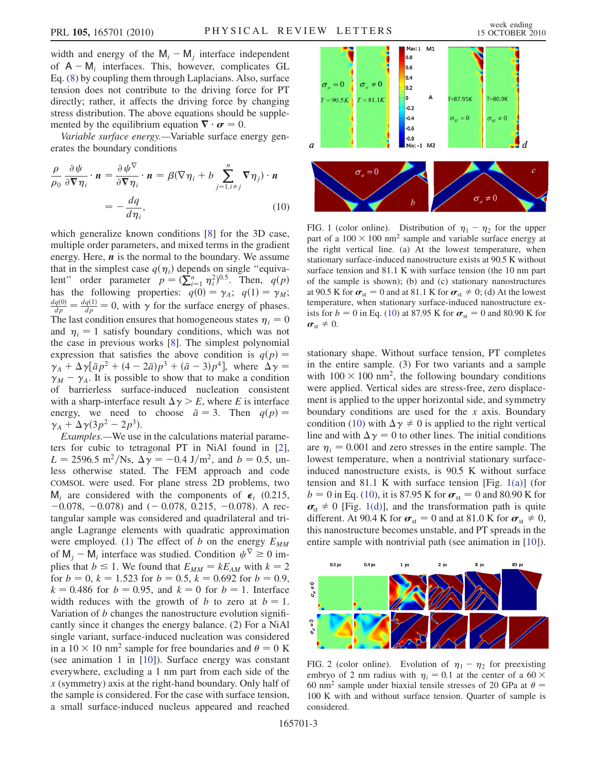width and energy of the  $M_i - M_j$  interface independent of  $A - M_i$  interfaces. This, however, complicates GL Eq. ([8](#page-1-2)) by coupling them through Laplacians. Also, surface tension does not contribute to the driving force for PT directly; rather, it affects the driving force by changing stress distribution. The above equations should be supplemented by the equilibrium equation  $\nabla \cdot \boldsymbol{\sigma} = 0$ .<br>Variable surface energy —Variable surface et

Variable surface energy.—Variable surface energy generates the boundary conditions

<span id="page-2-0"></span>
$$
\frac{\rho}{\rho_0} \frac{\partial \psi}{\partial \nabla \eta_i} \cdot \mathbf{n} = \frac{\partial \psi^{\nabla}}{\partial \nabla \eta_i} \cdot \mathbf{n} = \beta (\nabla \eta_i + b \sum_{j=1, i \neq j}^n \nabla \eta_j) \cdot \mathbf{n}
$$

$$
= -\frac{dq}{d\eta_i}, \qquad (10)
$$

which generalize known conditions [[8](#page-3-7)] for the 3D case, multiple order parameters, and mixed terms in the gradient energy. Here,  $\boldsymbol{n}$  is the normal to the boundary. We assume that in the simplest case  $q(\eta_i)$  depends on single "equivalent" order parameter  $p = (\sum_{i=1}^{n} \eta_i^2)^{0.5}$ . Then,  $q(p)$ <br>has the following properties:  $q(0) = \gamma$ .  $q(1) = \gamma$ . ient order parameter  $p = (\sum_{i=1}^{n} \eta_i^2)^{n/2}$ . Then,  $q(p)$ <br>has the following properties:  $q(0) = \gamma_A$ ;  $q(1) = \gamma_M$ ;<br> $dq(0) = dq(1) = 0$  with at for the surface aparameter of phases.  $\frac{dq(0)}{dp} = \frac{dq(1)}{dp} = 0$ , with  $\gamma$  for the surface energy of phases. The last condition ensures that homogeneous states  $\eta_i = 0$ and  $\eta_i = 1$  satisfy boundary conditions, which was not the case in previous works [\[8](#page-3-7)]. The simplest polynomial expression that satisfies the above condition is  $q(p) =$  $\gamma_A + \Delta \gamma \left[ \bar{a} p^2 + (4 - 2 \bar{a}) p^3 + (\bar{a} - 3) p^4 \right]$ , where  $\Delta \gamma =$  $\gamma_M - \gamma_A$ . It is possible to show that to make a condition of barrierless surface-induced nucleation consistent with a sharp-interface result  $\Delta \gamma \geq E$ , where E is interface energy, we need to choose  $\bar{a} = 3$ . Then  $q(p) =$  $\gamma_A + \Delta \gamma (3p^2 - 2p^3)$ .

Examples.—We use in the calculations material parameters for cubic to tetragonal PT in NiAl found in [[2\]](#page-3-1),  $L = 2596.5 \text{ m}^2/\text{Ns}, \Delta \gamma = -0.4 \text{ J/m}^2, \text{ and } b = 0.5, \text{ un-}$ less otherwise stated. The FEM approach and code COMSOL were used. For plane stress 2D problems, two  $M_i$  are considered with the components of  $\epsilon_t$  (0.215,  $-0.078$ ,  $-0.078$ ) and  $(-0.078, 0.215, -0.078)$ . A rectangular sample was considered and quadrilateral and triangle Lagrange elements with quadratic approximation were employed. (1) The effect of b on the energy  $E_{MM}$ of  $M_i - M_i$  interface was studied. Condition  $\psi^{\nabla} \ge 0$  implies that  $b \le 1$ . We found that  $E_{MM} = kE_{AM}$  with  $k = 2$ for  $b = 0$ ,  $k = 1.523$  for  $b = 0.5$ ,  $k = 0.692$  for  $b = 0.9$ ,  $k = 0.486$  for  $b = 0.95$ , and  $k = 0$  for  $b = 1$ . Interface width reduces with the growth of b to zero at  $b = 1$ . Variation of b changes the nanostructure evolution significantly since it changes the energy balance. (2) For a NiAl single variant, surface-induced nucleation was considered in a  $10 \times 10$  nm<sup>2</sup> sample for free boundaries and  $\theta = 0$  K (see animation 1 in [[10](#page-3-9)]). Surface energy was constant everywhere, excluding a 1 nm part from each side of the x (symmetry) axis at the right-hand boundary. Only half of the sample is considered. For the case with surface tension, a small surface-induced nucleus appeared and reached



<span id="page-2-1"></span>FIG. 1 (color online). Distribution of  $\eta_1 - \eta_2$  for the upper part of a  $100 \times 100$  nm<sup>2</sup> sample and variable surface energy at the right vertical line. (a) At the lowest temperature, when stationary surface-induced nanostructure exists at 90.5 K without surface tension and 81.1 K with surface tension (the 10 nm part of the sample is shown); (b) and (c) stationary nanostructures at 90.5 K for  $\sigma_{st} = 0$  and at 81.1 K for  $\sigma_{st} \neq 0$ ; (d) At the lowest temperature, when stationary surface-induced nanostructure exists for  $b = 0$  in Eq. [\(10\)](#page-2-0) at 87.95 K for  $\sigma_{st} = 0$  and 80.90 K for  $\boldsymbol{\sigma}_{st} \neq 0.$ 

stationary shape. Without surface tension, PT completes in the entire sample. (3) For two variants and a sample with  $100 \times 100$  nm<sup>2</sup>, the following boundary conditions were applied. Vertical sides are stress-free, zero displacement is applied to the upper horizontal side, and symmetry boundary conditions are used for the  $x$  axis. Boundary condition ([10](#page-2-0)) with  $\Delta \gamma \neq 0$  is applied to the right vertical line and with  $\Delta \gamma = 0$  to other lines. The initial conditions are  $\eta_i = 0.001$  and zero stresses in the entire sample. The lowest temperature, when a nontrivial stationary surfaceinduced nanostructure exists, is 90.5 K without surface tension and 81.1 K with surface tension [Fig.  $1(a)$ ] (for  $b = 0$  in Eq. [\(10\)](#page-2-0), it is 87.95 K for  $\sigma_{st} = 0$  and 80.90 K for  $\sigma_{st} \neq 0$  [Fig. [1\(d\)](#page-2-1)], and the transformation path is quite different. At 90.4 K for  $\sigma_{st} = 0$  and at 81.0 K for  $\sigma_{st} \neq 0$ , this nanostructure becomes unstable, and PT spreads in the entire sample with nontrivial path (see animation in [\[10](#page-3-9)]).

<span id="page-2-2"></span>

FIG. 2 (color online). Evolution of  $\eta_1 - \eta_2$  for preexisting embryo of 2 nm radius with  $\eta_i = 0.1$  at the center of a 60  $\times$ 60 nm<sup>2</sup> sample under biaxial tensile stresses of 20 GPa at  $\theta$  = 100 K with and without surface tension. Quarter of sample is considered.